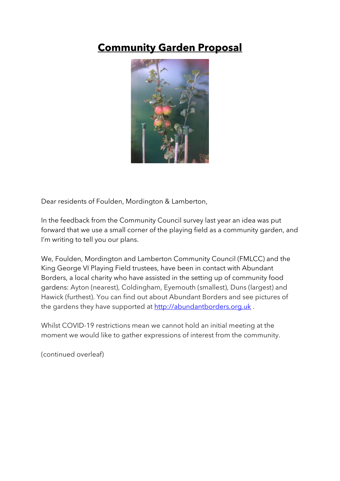## **Community Garden Proposal**



Dear residents of Foulden, Mordington & Lamberton,

In the feedback from the Community Council survey last year an idea was put forward that we use a small corner of the playing field as a community garden, and I'm writing to tell you our plans.

We, Foulden, Mordington and Lamberton Community Council (FMLCC) and the King George VI Playing Field trustees, have been in contact with Abundant Borders, a local charity who have assisted in the setting up of community food gardens: Ayton (nearest), Coldingham, Eyemouth (smallest), Duns (largest) and Hawick (furthest). You can find out about Abundant Borders and see pictures of the gardens they have supported at [http://abundantborders.org.uk](about:blank).

Whilst COVID-19 restrictions mean we cannot hold an initial meeting at the moment we would like to gather expressions of interest from the community.

(continued overleaf)